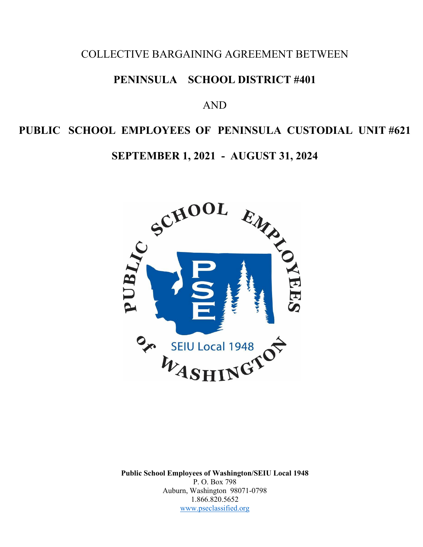# COLLECTIVE BARGAINING AGREEMENT BETWEEN

# **PENINSULA SCHOOL DISTRICT #401**

# AND

# **PUBLIC SCHOOL EMPLOYEES OF PENINSULA CUSTODIAL UNIT #621**

**SEPTEMBER 1, 2021 - AUGUST 31, 2024** 



**Public School Employees of Washington/SEIU Local 1948**  P. O. Box 798 Auburn, Washington 98071-0798 1.866.820.5652 [www.pseclassified.org](http://www.pseclassified.org/)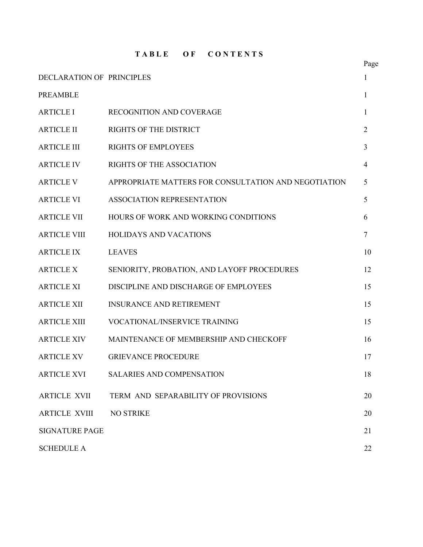**T A B L E O F C O N T E N T S**

|                                  |                                                      | Page |
|----------------------------------|------------------------------------------------------|------|
| <b>DECLARATION OF PRINCIPLES</b> |                                                      | 1    |
| <b>PREAMBLE</b>                  |                                                      | 1    |
| <b>ARTICLE I</b>                 | <b>RECOGNITION AND COVERAGE</b>                      | 1    |
| <b>ARTICLE II</b>                | <b>RIGHTS OF THE DISTRICT</b>                        | 2    |
| <b>ARTICLE III</b>               | <b>RIGHTS OF EMPLOYEES</b>                           | 3    |
| <b>ARTICLE IV</b>                | <b>RIGHTS OF THE ASSOCIATION</b>                     | 4    |
| <b>ARTICLE V</b>                 | APPROPRIATE MATTERS FOR CONSULTATION AND NEGOTIATION | 5    |
| <b>ARTICLE VI</b>                | <b>ASSOCIATION REPRESENTATION</b>                    | 5    |
| <b>ARTICLE VII</b>               | HOURS OF WORK AND WORKING CONDITIONS                 | 6    |
| <b>ARTICLE VIII</b>              | <b>HOLIDAYS AND VACATIONS</b>                        | 7    |
| <b>ARTICLE IX</b>                | <b>LEAVES</b>                                        | 10   |
| <b>ARTICLE X</b>                 | SENIORITY, PROBATION, AND LAYOFF PROCEDURES          | 12   |
| <b>ARTICLE XI</b>                | DISCIPLINE AND DISCHARGE OF EMPLOYEES                | 15   |
| <b>ARTICLE XII</b>               | <b>INSURANCE AND RETIREMENT</b>                      | 15   |
| <b>ARTICLE XIII</b>              | VOCATIONAL/INSERVICE TRAINING                        | 15   |
| <b>ARTICLE XIV</b>               | MAINTENANCE OF MEMBERSHIP AND CHECKOFF               | 16   |
| <b>ARTICLE XV</b>                | <b>GRIEVANCE PROCEDURE</b>                           | 17   |
| <b>ARTICLE XVI</b>               | SALARIES AND COMPENSATION                            | 18   |
| <b>ARTICLE XVII</b>              | TERM AND SEPARABILITY OF PROVISIONS                  | 20   |
| <b>ARTICLE XVIII</b>             | <b>NO STRIKE</b>                                     | 20   |
| <b>SIGNATURE PAGE</b>            |                                                      | 21   |
| <b>SCHEDULE A</b>                |                                                      | 22   |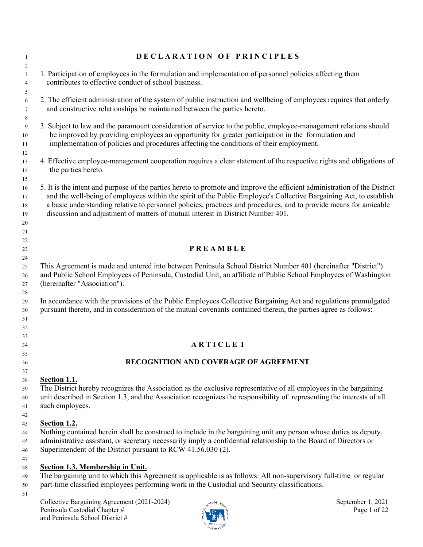| $\overline{1}$<br>$\overline{c}$       | DECLARATION OF PRINCIPLES                                                                                                                                                                                                                                                                                                                                                                                                                               |
|----------------------------------------|---------------------------------------------------------------------------------------------------------------------------------------------------------------------------------------------------------------------------------------------------------------------------------------------------------------------------------------------------------------------------------------------------------------------------------------------------------|
| $\mathbf{3}$<br>$\overline{4}$         | 1. Participation of employees in the formulation and implementation of personnel policies affecting them<br>contributes to effective conduct of school business.                                                                                                                                                                                                                                                                                        |
| 5<br>6<br>7<br>8                       | 2. The efficient administration of the system of public instruction and wellbeing of employees requires that orderly<br>and constructive relationships be maintained between the parties hereto.                                                                                                                                                                                                                                                        |
| 9<br>10<br>11                          | 3. Subject to law and the paramount consideration of service to the public, employee-management relations should<br>be improved by providing employees an opportunity for greater participation in the formulation and<br>implementation of policies and procedures affecting the conditions of their employment.                                                                                                                                       |
| 12<br>13<br>14                         | 4. Effective employee-management cooperation requires a clear statement of the respective rights and obligations of<br>the parties hereto.                                                                                                                                                                                                                                                                                                              |
| 15<br>16<br>17<br>18<br>19<br>20<br>21 | 5. It is the intent and purpose of the parties hereto to promote and improve the efficient administration of the District<br>and the well-being of employees within the spirit of the Public Employee's Collective Bargaining Act, to establish<br>a basic understanding relative to personnel policies, practices and procedures, and to provide means for amicable<br>discussion and adjustment of matters of mutual interest in District Number 401. |
| 22<br>23                               | <b>PREAMBLE</b>                                                                                                                                                                                                                                                                                                                                                                                                                                         |
| 24<br>25<br>26<br>27<br>28             | This Agreement is made and entered into between Peninsula School District Number 401 (hereinafter "District")<br>and Public School Employees of Peninsula, Custodial Unit, an affiliate of Public School Employees of Washington<br>(hereinafter "Association").                                                                                                                                                                                        |
| 29<br>30<br>31<br>32                   | In accordance with the provisions of the Public Employees Collective Bargaining Act and regulations promulgated<br>pursuant thereto, and in consideration of the mutual covenants contained therein, the parties agree as follows:                                                                                                                                                                                                                      |
| 33<br>34                               | <b>ARTICLEI</b>                                                                                                                                                                                                                                                                                                                                                                                                                                         |
| 35<br>36                               | RECOGNITION AND COVERAGE OF AGREEMENT                                                                                                                                                                                                                                                                                                                                                                                                                   |
| 37<br>38<br>39<br>40<br>41<br>42       | Section 1.1.<br>The District hereby recognizes the Association as the exclusive representative of all employees in the bargaining<br>unit described in Section 1.3, and the Association recognizes the responsibility of representing the interests of all<br>such employees.                                                                                                                                                                           |
| 43<br>44<br>45<br>46                   | Section 1.2.<br>Nothing contained herein shall be construed to include in the bargaining unit any person whose duties as deputy,<br>administrative assistant, or secretary necessarily imply a confidential relationship to the Board of Directors or<br>Superintendent of the District pursuant to RCW 41.56.030 (2).                                                                                                                                  |
| 47<br>48<br>49<br>50                   | <b>Section 1.3. Membership in Unit.</b><br>The bargaining unit to which this Agreement is applicable is as follows: All non-supervisory full-time or regular<br>part-time classified employees performing work in the Custodial and Security classifications.                                                                                                                                                                                           |
| 51                                     | Collective Bargaining Agreement (2021-2024)<br>September 1, 2021<br>action Esta                                                                                                                                                                                                                                                                                                                                                                         |

Peninsula Custodial Chapter #  $\mathbb{R}$  P is  $\mathbb{R}$  P in  $\mathbb{R}$ and Peninsula School District #

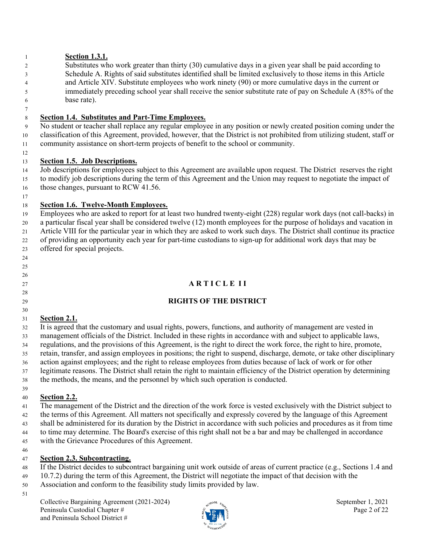#### **Section 1.3.1.**

- 2 Substitutes who work greater than thirty (30) cumulative days in a given year shall be paid according to 3 Schedule A. Rights of said substitutes identified shall be limited exclusively to those items in this Article 4 and Article XIV. Substitute employees who work ninety (90) or more cumulative days in the current or 5 immediately preceding school year shall receive the senior substitute rate of pay on Schedule A (85% of the
- 6 base rate).

 

## **Section 1.4. Substitutes and Part-Time Employees.**

9 No student or teacher shall replace any regular employee in any position or newly created position coming under the classification of this Agreement, provided, however, that the District is not prohibited from utilizing student, staff or community assistance on short-term projects of benefit to the school or community.

#### **Section 1.5. Job Descriptions.**

 Job descriptions for employees subject to this Agreement are available upon request. The District reserves the right to modify job descriptions during the term of this Agreement and the Union may request to negotiate the impact of 16 those changes, pursuant to RCW 41.56.

#### **Section 1.6. Twelve-Month Employees.**

 Employees who are asked to report for at least two hundred twenty-eight (228) regular work days (not call-backs) in a particular fiscal year shall be considered twelve (12) month employees for the purpose of holidays and vacation in Article VIII for the particular year in which they are asked to work such days. The District shall continue its practice of providing an opportunity each year for part-time custodians to sign-up for additional work days that may be offered for special projects.

## **A R T I C L E I I**

#### **RIGHTS OF THE DISTRICT**

#### **Section 2.1.**

 It is agreed that the customary and usual rights, powers, functions, and authority of management are vested in management officials of the District. Included in these rights in accordance with and subject to applicable laws, regulations, and the provisions of this Agreement, is the right to direct the work force, the right to hire, promote, retain, transfer, and assign employees in positions; the right to suspend, discharge, demote, or take other disciplinary action against employees; and the right to release employees from duties because of lack of work or for other legitimate reasons. The District shall retain the right to maintain efficiency of the District operation by determining the methods, the means, and the personnel by which such operation is conducted.

## **Section 2.2.**

 The management of the District and the direction of the work force is vested exclusively with the District subject to the terms of this Agreement. All matters not specifically and expressly covered by the language of this Agreement shall be administered for its duration by the District in accordance with such policies and procedures as it from time to time may determine. The Board's exercise of this right shall not be a bar and may be challenged in accordance with the Grievance Procedures of this Agreement.

#### **Section 2.3. Subcontracting.**

- If the District decides to subcontract bargaining unit work outside of areas of current practice (e.g., Sections 1.4 and
- 10.7.2) during the term of this Agreement, the District will negotiate the impact of that decision with the
- Association and conform to the feasibility study limits provided by law.
- 

Collective Bargaining Agreement (2021-2024) September 1, 2021 Peninsula Custodial Chapter #  $\ddot{\zeta}$  Page 2 of 22 and Peninsula School District #

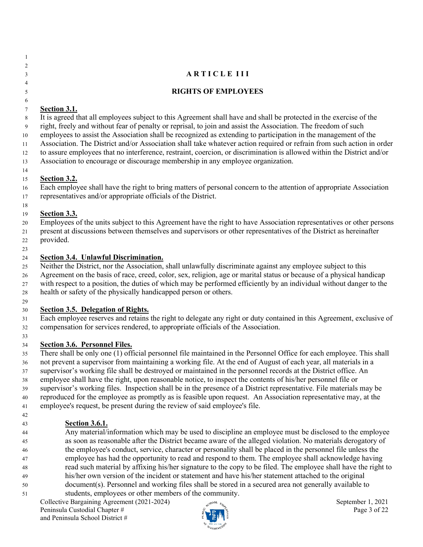| -1             |                                                                                                                                                                                                                                                 |
|----------------|-------------------------------------------------------------------------------------------------------------------------------------------------------------------------------------------------------------------------------------------------|
| $\overline{c}$ |                                                                                                                                                                                                                                                 |
| 3              | <b>ARTICLE III</b>                                                                                                                                                                                                                              |
| $\overline{4}$ |                                                                                                                                                                                                                                                 |
| 5              | <b>RIGHTS OF EMPLOYEES</b>                                                                                                                                                                                                                      |
| 6              |                                                                                                                                                                                                                                                 |
| $\tau$         | Section 3.1.                                                                                                                                                                                                                                    |
| 8              | It is agreed that all employees subject to this Agreement shall have and shall be protected in the exercise of the                                                                                                                              |
| 9              | right, freely and without fear of penalty or reprisal, to join and assist the Association. The freedom of such                                                                                                                                  |
| 10             | employees to assist the Association shall be recognized as extending to participation in the management of the                                                                                                                                  |
| 11             | Association. The District and/or Association shall take whatever action required or refrain from such action in order<br>to assure employees that no interference, restraint, coercion, or discrimination is allowed within the District and/or |
| 12<br>13       | Association to encourage or discourage membership in any employee organization.                                                                                                                                                                 |
| 14             |                                                                                                                                                                                                                                                 |
| 15             | Section 3.2.                                                                                                                                                                                                                                    |
| 16             | Each employee shall have the right to bring matters of personal concern to the attention of appropriate Association                                                                                                                             |
| 17             | representatives and/or appropriate officials of the District.                                                                                                                                                                                   |
| 18             |                                                                                                                                                                                                                                                 |
| 19             | Section 3.3.                                                                                                                                                                                                                                    |
| 20             | Employees of the units subject to this Agreement have the right to have Association representatives or other persons                                                                                                                            |
| 21             | present at discussions between themselves and supervisors or other representatives of the District as hereinafter                                                                                                                               |
| 22             | provided.                                                                                                                                                                                                                                       |
| 23             |                                                                                                                                                                                                                                                 |
| 24             | <b>Section 3.4. Unlawful Discrimination.</b>                                                                                                                                                                                                    |
| 25             | Neither the District, nor the Association, shall unlawfully discriminate against any employee subject to this                                                                                                                                   |
| 26             | Agreement on the basis of race, creed, color, sex, religion, age or marital status or because of a physical handicap                                                                                                                            |
| 27             | with respect to a position, the duties of which may be performed efficiently by an individual without danger to the<br>health or safety of the physically handicapped person or others.                                                         |
| 28<br>29       |                                                                                                                                                                                                                                                 |
| 30             | <b>Section 3.5. Delegation of Rights.</b>                                                                                                                                                                                                       |
| 31             | Each employee reserves and retains the right to delegate any right or duty contained in this Agreement, exclusive of                                                                                                                            |
| 32             | compensation for services rendered, to appropriate officials of the Association.                                                                                                                                                                |
| 33             |                                                                                                                                                                                                                                                 |
| 34             | <b>Section 3.6. Personnel Files.</b>                                                                                                                                                                                                            |
| 35             | There shall be only one (1) official personnel file maintained in the Personnel Office for each employee. This shall                                                                                                                            |
| 36             | not prevent a supervisor from maintaining a working file. At the end of August of each year, all materials in a                                                                                                                                 |
| 37             | supervisor's working file shall be destroyed or maintained in the personnel records at the District office. An                                                                                                                                  |
| 38             | employee shall have the right, upon reasonable notice, to inspect the contents of his/her personnel file or                                                                                                                                     |
| 39             | supervisor's working files. Inspection shall be in the presence of a District representative. File materials may be                                                                                                                             |
| 40             | reproduced for the employee as promptly as is feasible upon request. An Association representative may, at the                                                                                                                                  |
| 41             | employee's request, be present during the review of said employee's file.                                                                                                                                                                       |
| 42             |                                                                                                                                                                                                                                                 |
| 43<br>44       | <b>Section 3.6.1.</b><br>Any material/information which may be used to discipline an employee must be disclosed to the employee                                                                                                                 |
| 45             | as soon as reasonable after the District became aware of the alleged violation. No materials derogatory of                                                                                                                                      |
| 46             | the employee's conduct, service, character or personality shall be placed in the personnel file unless the                                                                                                                                      |
| 47             | employee has had the opportunity to read and respond to them. The employee shall acknowledge having                                                                                                                                             |

- read such material by affixing his/her signature to the copy to be filed. The employee shall have the right to his/her own version of the incident or statement and have his/her statement attached to the original document(s). Personnel and working files shall be stored in a secured area not generally available to
- students, employees or other members of the community.

Collective Bargaining Agreement (2021-2024) September 1, 2021 Peninsula Custodial Chapter #  $\frac{1}{2}$  P and Peninsula School District #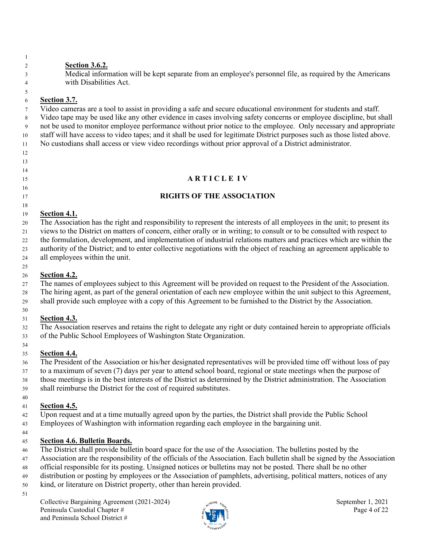**Section 3.6.2.** 

3 Medical information will be kept separate from an employee's personnel file, as required by the Americans 4 with Disabilities Act.

## **Section 3.7.**

7 Video cameras are a tool to assist in providing a safe and secure educational environment for students and staff.

8 Video tape may be used like any other evidence in cases involving safety concerns or employee discipline, but shall 9 not be used to monitor employee performance without prior notice to the employee. Only necessary and appropriate staff will have access to video tapes; and it shall be used for legitimate District purposes such as those listed above. No custodians shall access or view video recordings without prior approval of a District administrator.

- 
- 
- **A R T I C L E I V**
- 
- 
- 

# **RIGHTS OF THE ASSOCIATION**

## **Section 4.1.**

 The Association has the right and responsibility to represent the interests of all employees in the unit; to present its views to the District on matters of concern, either orally or in writing; to consult or to be consulted with respect to the formulation, development, and implementation of industrial relations matters and practices which are within the authority of the District; and to enter collective negotiations with the object of reaching an agreement applicable to all employees within the unit.

## **Section 4.2.**

 The names of employees subject to this Agreement will be provided on request to the President of the Association. The hiring agent, as part of the general orientation of each new employee within the unit subject to this Agreement, shall provide such employee with a copy of this Agreement to be furnished to the District by the Association.

#### **Section 4.3.**

 The Association reserves and retains the right to delegate any right or duty contained herein to appropriate officials of the Public School Employees of Washington State Organization.

#### **Section 4.4.**

 The President of the Association or his/her designated representatives will be provided time off without loss of pay to a maximum of seven (7) days per year to attend school board, regional or state meetings when the purpose of those meetings is in the best interests of the District as determined by the District administration. The Association shall reimburse the District for the cost of required substitutes.

# **Section 4.5.**

Upon request and at a time mutually agreed upon by the parties, the District shall provide the Public School

 Employees of Washington with information regarding each employee in the bargaining unit. 

## **Section 4.6. Bulletin Boards.**

- The District shall provide bulletin board space for the use of the Association. The bulletins posted by the
- Association are the responsibility of the officials of the Association. Each bulletin shall be signed by the Association
- official responsible for its posting. Unsigned notices or bulletins may not be posted. There shall be no other
- distribution or posting by employees or the Association of pamphlets, advertising, political matters, notices of any
- kind, or literature on District property, other than herein provided.
- 

Collective Bargaining Agreement (2021-2024) September 1, 2021 Peninsula Custodial Chapter #  $\frac{1}{2}$  Page 4 of 22 and Peninsula School District #

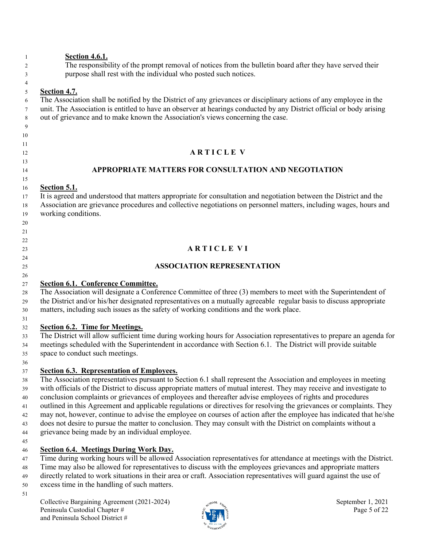## **Section 4.6.1.**

 The responsibility of the prompt removal of notices from the bulletin board after they have served their purpose shall rest with the individual who posted such notices.

## **Section 4.7.**

 The Association shall be notified by the District of any grievances or disciplinary actions of any employee in the unit. The Association is entitled to have an observer at hearings conducted by any District official or body arising out of grievance and to make known the Association's views concerning the case.

- 
- 

 

#### **A R T I C L E V**

#### **APPROPRIATE MATTERS FOR CONSULTATION AND NEGOTIATION**

#### **Section 5.1.**

 It is agreed and understood that matters appropriate for consultation and negotiation between the District and the Association are grievance procedures and collective negotiations on personnel matters, including wages, hours and working conditions.

## **A R T I C L E V I**

#### **ASSOCIATION REPRESENTATION**

## **Section 6.1. Conference Committee.**

 The Association will designate a Conference Committee of three (3) members to meet with the Superintendent of the District and/or his/her designated representatives on a mutually agreeable regular basis to discuss appropriate matters, including such issues as the safety of working conditions and the work place.

#### **Section 6.2. Time for Meetings.**

 The District will allow sufficient time during working hours for Association representatives to prepare an agenda for meetings scheduled with the Superintendent in accordance with Section 6.1. The District will provide suitable space to conduct such meetings.

## **Section 6.3. Representation of Employees.**

 The Association representatives pursuant to Section 6.1 shall represent the Association and employees in meeting with officials of the District to discuss appropriate matters of mutual interest. They may receive and investigate to conclusion complaints or grievances of employees and thereafter advise employees of rights and procedures outlined in this Agreement and applicable regulations or directives for resolving the grievances or complaints. They may not, however, continue to advise the employee on courses of action after the employee has indicated that he/she does not desire to pursue the matter to conclusion. They may consult with the District on complaints without a grievance being made by an individual employee. 

## **Section 6.4. Meetings During Work Day.**

- Time during working hours will be allowed Association representatives for attendance at meetings with the District.
- Time may also be allowed for representatives to discuss with the employees grievances and appropriate matters
- directly related to work situations in their area or craft. Association representatives will guard against the use of
- excess time in the handling of such matters.
- 

Collective Bargaining Agreement (2021-2024) September 1, 2021 Peninsula Custodial Chapter #  $\frac{1}{2}$  Page 5 of 22 and Peninsula School District #

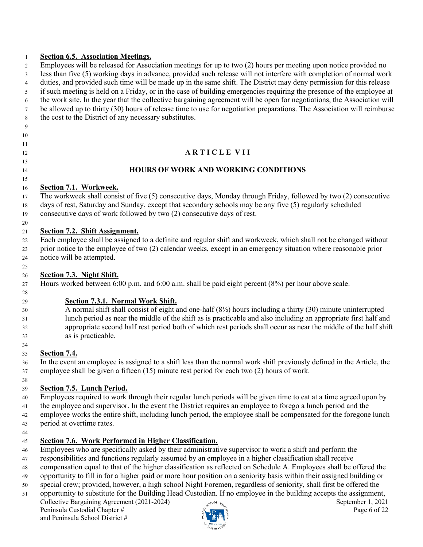#### **Section 6.5. Association Meetings.**

 Employees will be released for Association meetings for up to two (2) hours per meeting upon notice provided no less than five (5) working days in advance, provided such release will not interfere with completion of normal work duties, and provided such time will be made up in the same shift. The District may deny permission for this release if such meeting is held on a Friday, or in the case of building emergencies requiring the presence of the employee at the work site. In the year that the collective bargaining agreement will be open for negotiations, the Association will be allowed up to thirty (30) hours of release time to use for negotiation preparations. The Association will reimburse the cost to the District of any necessary substitutes.

 

## **A R T I C L E V I I**

#### **HOURS OF WORK AND WORKING CONDITIONS**

#### **Section 7.1. Workweek.**

 The workweek shall consist of five (5) consecutive days, Monday through Friday, followed by two (2) consecutive days of rest, Saturday and Sunday, except that secondary schools may be any five (5) regularly scheduled consecutive days of work followed by two (2) consecutive days of rest.

#### **Section 7.2. Shift Assignment.**

 Each employee shall be assigned to a definite and regular shift and workweek, which shall not be changed without prior notice to the employee of two (2) calendar weeks, except in an emergency situation where reasonable prior notice will be attempted.

#### **Section 7.3. Night Shift.**

Hours worked between 6:00 p.m. and 6:00 a.m. shall be paid eight percent (8%) per hour above scale.

## **Section 7.3.1. Normal Work Shift.**

 A normal shift shall consist of eight and one-half (8½) hours including a thirty (30) minute uninterrupted lunch period as near the middle of the shift as is practicable and also including an appropriate first half and appropriate second half rest period both of which rest periods shall occur as near the middle of the half shift as is practicable.

## **Section 7.4.**

 In the event an employee is assigned to a shift less than the normal work shift previously defined in the Article, the employee shall be given a fifteen (15) minute rest period for each two (2) hours of work.

## **Section 7.5. Lunch Period.**

Employees required to work through their regular lunch periods will be given time to eat at a time agreed upon by

41 the employee and supervisor. In the event the District requires an employee to forego a lunch period and the

 employee works the entire shift, including lunch period, the employee shall be compensated for the foregone lunch period at overtime rates.

#### **Section 7.6. Work Performed in Higher Classification.**

Employees who are specifically asked by their administrative supervisor to work a shift and perform the

responsibilities and functions regularly assumed by an employee in a higher classification shall receive

compensation equal to that of the higher classification as reflected on Schedule A. Employees shall be offered the

- opportunity to fill in for a higher paid or more hour position on a seniority basis within their assigned building or
- special crew; provided, however, a high school Night Foremen, regardless of seniority, shall first be offered the opportunity to substitute for the Building Head Custodian. If no employee in the building accepts the assignment,

Collective Bargaining Agreement (2021-2024) September 1, 2021 Peninsula Custodial Chapter #  $\frac{1}{2}$  Page 6 of 22 and Peninsula School District #

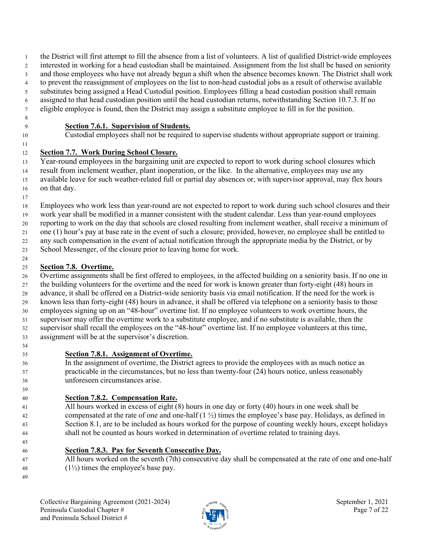- the District will first attempt to fill the absence from a list of volunteers. A list of qualified District-wide employees
- interested in working for a head custodian shall be maintained. Assignment from the list shall be based on seniority
- and those employees who have not already begun a shift when the absence becomes known. The District shall work
- to prevent the reassignment of employees on the list to non-head custodial jobs as a result of otherwise available substitutes being assigned a Head Custodial position. Employees filling a head custodian position shall remain
- assigned to that head custodian position until the head custodian returns, notwithstanding Section 10.7.3. If no
- eligible employee is found, then the District may assign a substitute employee to fill in for the position.
- 

## **Section 7.6.1. Supervision of Students.**

## Custodial employees shall not be required to supervise students without appropriate support or training.

## **Section 7.7. Work During School Closure.**

 Year-round employees in the bargaining unit are expected to report to work during school closures which result from inclement weather, plant inoperation, or the like. In the alternative, employees may use any available leave for such weather-related full or partial day absences or, with supervisor approval, may flex hours on that day.

 Employees who work less than year-round are not expected to report to work during such school closures and their work year shall be modified in a manner consistent with the student calendar. Less than year-round employees reporting to work on the day that schools are closed resulting from inclement weather, shall receive a minimum of one (1) hour's pay at base rate in the event of such a closure; provided, however, no employee shall be entitled to

any such compensation in the event of actual notification through the appropriate media by the District, or by

School Messenger, of the closure prior to leaving home for work.

#### **Section 7.8. Overtime.**

 Overtime assignments shall be first offered to employees, in the affected building on a seniority basis. If no one in the building volunteers for the overtime and the need for work is known greater than forty-eight (48) hours in advance, it shall be offered on a District-wide seniority basis via email notification. If the need for the work is known less than forty-eight (48) hours in advance, it shall be offered via telephone on a seniority basis to those employees signing up on an "48-hour" overtime list. If no employee volunteers to work overtime hours, the supervisor may offer the overtime work to a substitute employee, and if no substitute is available, then the supervisor shall recall the employees on the "48-hour" overtime list. If no employee volunteers at this time, assignment will be at the supervisor's discretion.

## **Section 7.8.1. Assignment of Overtime.**

 In the assignment of overtime, the District agrees to provide the employees with as much notice as practicable in the circumstances, but no less than twenty-four (24) hours notice, unless reasonably unforeseen circumstances arise.

## **Section 7.8.2. Compensation Rate.**

 All hours worked in excess of eight (8) hours in one day or forty (40) hours in one week shall be compensated at the rate of one and one-half (1 ½) times the employee's base pay. Holidays, as defined in Section 8.1, are to be included as hours worked for the purpose of counting weekly hours, except holidays shall not be counted as hours worked in determination of overtime related to training days.

- **Section 7.8.3. Pay for Seventh Consecutive Day.**
- All hours worked on the seventh (7th) consecutive day shall be compensated at the rate of one and one-half 48  $(1\frac{1}{2})$  times the employee's base pay.

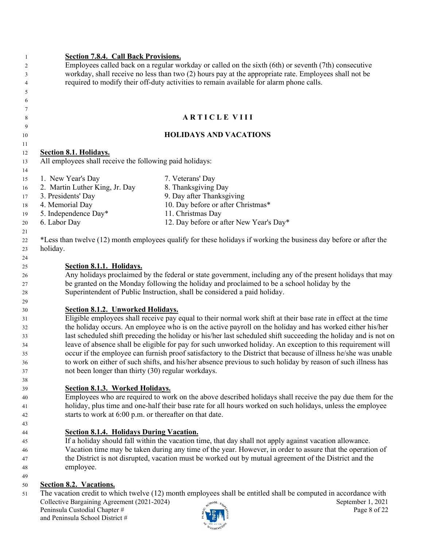| $\mathbf{1}$ | <b>Section 7.8.4. Call Back Provisions.</b>                                                          |                                                                                                                   |                   |  |  |  |  |  |  |  |
|--------------|------------------------------------------------------------------------------------------------------|-------------------------------------------------------------------------------------------------------------------|-------------------|--|--|--|--|--|--|--|
| 2            | Employees called back on a regular workday or called on the sixth (6th) or seventh (7th) consecutive |                                                                                                                   |                   |  |  |  |  |  |  |  |
| 3            |                                                                                                      | workday, shall receive no less than two (2) hours pay at the appropriate rate. Employees shall not be             |                   |  |  |  |  |  |  |  |
| 4            | required to modify their off-duty activities to remain available for alarm phone calls.              |                                                                                                                   |                   |  |  |  |  |  |  |  |
| 5            |                                                                                                      |                                                                                                                   |                   |  |  |  |  |  |  |  |
| 6            |                                                                                                      |                                                                                                                   |                   |  |  |  |  |  |  |  |
| 7            |                                                                                                      |                                                                                                                   |                   |  |  |  |  |  |  |  |
| 8            |                                                                                                      | <b>ARTICLE VIII</b>                                                                                               |                   |  |  |  |  |  |  |  |
| 9            |                                                                                                      |                                                                                                                   |                   |  |  |  |  |  |  |  |
| 10           |                                                                                                      | <b>HOLIDAYS AND VACATIONS</b>                                                                                     |                   |  |  |  |  |  |  |  |
| 11           |                                                                                                      |                                                                                                                   |                   |  |  |  |  |  |  |  |
| 12           | <b>Section 8.1. Holidays.</b>                                                                        |                                                                                                                   |                   |  |  |  |  |  |  |  |
| 13           | All employees shall receive the following paid holidays:                                             |                                                                                                                   |                   |  |  |  |  |  |  |  |
| 14           |                                                                                                      |                                                                                                                   |                   |  |  |  |  |  |  |  |
| 15           | 1. New Year's Day                                                                                    | 7. Veterans' Day                                                                                                  |                   |  |  |  |  |  |  |  |
| 16           | 2. Martin Luther King, Jr. Day                                                                       | 8. Thanksgiving Day                                                                                               |                   |  |  |  |  |  |  |  |
| 17           | 3. Presidents' Day                                                                                   | 9. Day after Thanksgiving                                                                                         |                   |  |  |  |  |  |  |  |
| 18           | 4. Memorial Day                                                                                      | 10. Day before or after Christmas*                                                                                |                   |  |  |  |  |  |  |  |
| 19           | 5. Independence Day*                                                                                 | 11. Christmas Day                                                                                                 |                   |  |  |  |  |  |  |  |
| 20           | 6. Labor Day                                                                                         | 12. Day before or after New Year's Day*                                                                           |                   |  |  |  |  |  |  |  |
| 21           |                                                                                                      |                                                                                                                   |                   |  |  |  |  |  |  |  |
| 22           |                                                                                                      | *Less than twelve (12) month employees qualify for these holidays if working the business day before or after the |                   |  |  |  |  |  |  |  |
| 23           | holiday.                                                                                             |                                                                                                                   |                   |  |  |  |  |  |  |  |
| 24           |                                                                                                      |                                                                                                                   |                   |  |  |  |  |  |  |  |
| 25           | Section 8.1.1. Holidays.                                                                             |                                                                                                                   |                   |  |  |  |  |  |  |  |
| 26           |                                                                                                      | Any holidays proclaimed by the federal or state government, including any of the present holidays that may        |                   |  |  |  |  |  |  |  |
| 27           |                                                                                                      | be granted on the Monday following the holiday and proclaimed to be a school holiday by the                       |                   |  |  |  |  |  |  |  |
| 28           |                                                                                                      | Superintendent of Public Instruction, shall be considered a paid holiday.                                         |                   |  |  |  |  |  |  |  |
| 29           |                                                                                                      |                                                                                                                   |                   |  |  |  |  |  |  |  |
| 30           | <b>Section 8.1.2. Unworked Holidays.</b>                                                             |                                                                                                                   |                   |  |  |  |  |  |  |  |
| 31           |                                                                                                      | Eligible employees shall receive pay equal to their normal work shift at their base rate in effect at the time    |                   |  |  |  |  |  |  |  |
| 32           |                                                                                                      | the holiday occurs. An employee who is on the active payroll on the holiday and has worked either his/her         |                   |  |  |  |  |  |  |  |
| 33           |                                                                                                      | last scheduled shift preceding the holiday or his/her last scheduled shift succeeding the holiday and is not on   |                   |  |  |  |  |  |  |  |
| 34           |                                                                                                      | leave of absence shall be eligible for pay for such unworked holiday. An exception to this requirement will       |                   |  |  |  |  |  |  |  |
| 35           |                                                                                                      | occur if the employee can furnish proof satisfactory to the District that because of illness he/she was unable    |                   |  |  |  |  |  |  |  |
| 36           |                                                                                                      | to work on either of such shifts, and his/her absence previous to such holiday by reason of such illness has      |                   |  |  |  |  |  |  |  |
| 37           | not been longer than thirty (30) regular workdays.                                                   |                                                                                                                   |                   |  |  |  |  |  |  |  |
| 38           |                                                                                                      |                                                                                                                   |                   |  |  |  |  |  |  |  |
| 39           | Section 8.1.3. Worked Holidays.                                                                      |                                                                                                                   |                   |  |  |  |  |  |  |  |
| 40           |                                                                                                      | Employees who are required to work on the above described holidays shall receive the pay due them for the         |                   |  |  |  |  |  |  |  |
| 41           |                                                                                                      | holiday, plus time and one-half their base rate for all hours worked on such holidays, unless the employee        |                   |  |  |  |  |  |  |  |
| 42           | starts to work at 6:00 p.m. or thereafter on that date.                                              |                                                                                                                   |                   |  |  |  |  |  |  |  |
| 43           |                                                                                                      |                                                                                                                   |                   |  |  |  |  |  |  |  |
| 44           | <b>Section 8.1.4. Holidays During Vacation.</b>                                                      |                                                                                                                   |                   |  |  |  |  |  |  |  |
| 45           |                                                                                                      | If a holiday should fall within the vacation time, that day shall not apply against vacation allowance.           |                   |  |  |  |  |  |  |  |
| 46           |                                                                                                      | Vacation time may be taken during any time of the year. However, in order to assure that the operation of         |                   |  |  |  |  |  |  |  |
| 47           |                                                                                                      | the District is not disrupted, vacation must be worked out by mutual agreement of the District and the            |                   |  |  |  |  |  |  |  |
| 48           | employee.                                                                                            |                                                                                                                   |                   |  |  |  |  |  |  |  |
| 49           |                                                                                                      |                                                                                                                   |                   |  |  |  |  |  |  |  |
| 50           | <b>Section 8.2. Vacations.</b>                                                                       |                                                                                                                   |                   |  |  |  |  |  |  |  |
| 51           |                                                                                                      | The vacation credit to which twelve (12) month employees shall be entitled shall be computed in accordance with   |                   |  |  |  |  |  |  |  |
|              | Collective Bargaining Agreement (2021-2024)                                                          | $c^{\text{N}^{OOL}}$ $\varepsilon_{4}$                                                                            | September 1, 2021 |  |  |  |  |  |  |  |

Peninsula Custodial Chapter #  $\frac{1}{2}$  P and Page 8 of 22 and Peninsula School District #

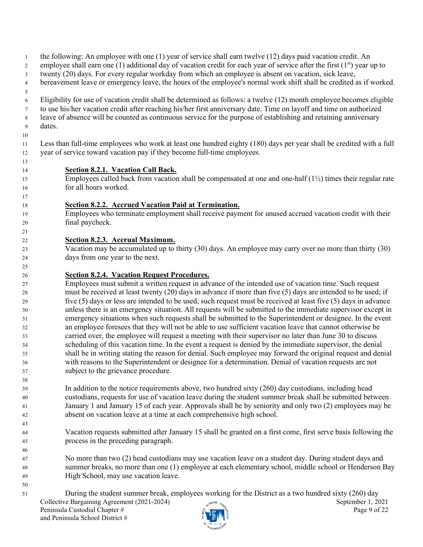1 the following: An employee with one (1) year of service shall earn twelve (12) days paid vacation credit. An employee shall earn one (1) additional day of vacation credit for each year of service after the first  $(1<sup>st</sup>)$  year up to 3 twenty (20) days. For every regular workday from which an employee is absent on vacation, sick leave, 4 bereavement leave or emergency leave, the hours of the employee's normal work shift shall be credited as if worked. 6 Eligibility for use of vacation credit shall be determined as follows: a twelve (12) month employee becomes eligible 7 to use his/her vacation credit after reaching his/her first anniversary date. Time on layoff and time on authorized 8 leave of absence will be counted as continuous service for the purpose of establishing and retaining anniversary 9 dates. Less than full-time employees who work at least one hundred eighty (180) days per year shall be credited with a full year of service toward vacation pay if they become full-time employees. **Section 8.2.1. Vacation Call Back.**  Employees called back from vacation shall be compensated at one and one-half (1½) times their regular rate for all hours worked. **Section 8.2.2. Accrued Vacation Paid at Termination.** Employees who terminate employment shall receive payment for unused accrued vacation credit with their final paycheck. **Section 8.2.3. Accrual Maximum.** Vacation may be accumulated up to thirty (30) days. An employee may carry over no more than thirty (30) days from one year to the next. **Section 8.2.4. Vacation Request Procedures.** Employees must submit a written request in advance of the intended use of vacation time. Such request must be received at least twenty (20) days in advance if more than five (5) days are intended to be used; if five (5) days or less are intended to be used, such request must be received at least five (5) days in advance unless there is an emergency situation. All requests will be submitted to the immediate supervisor except in emergency situations when such requests shall be submitted to the Superintendent or designee. In the event an employee foresees that they will not be able to use sufficient vacation leave that cannot otherwise be carried over, the employee will request a meeting with their supervisor no later than June 30 to discuss scheduling of this vacation time. In the event a request is denied by the immediate supervisor, the denial shall be in writing stating the reason for denial. Such employee may forward the original request and denial with reasons to the Superintendent or designee for a determination. Denial of vacation requests are not subject to the grievance procedure. In addition to the notice requirements above, two hundred sixty (260) day custodians, including head custodians, requests for use of vacation leave during the student summer break shall be submitted between January 1 and January 15 of each year. Approvals shall be by seniority and only two (2) employees may be absent on vacation leave at a time at each comprehensive high school. Vacation requests submitted after January 15 shall be granted on a first come, first serve basis following the process in the preceding paragraph. No more than two (2) head custodians may use vacation leave on a student day. During student days and summer breaks, no more than one (1) employee at each elementary school, middle school or Henderson Bay High School, may use vacation leave. 

Collective Bargaining Agreement (2021-2024) September 1, 2021 Peninsula Custodial Chapter #  $\frac{1}{2}$  Page 9 of 22 and Peninsula School District # During the student summer break, employees working for the District as a two hundred sixty (260) day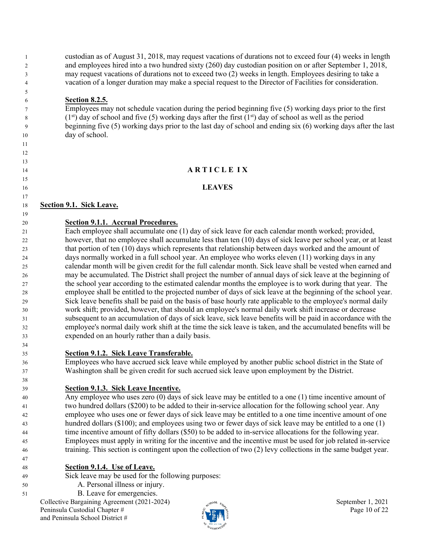custodian as of August 31, 2018, may request vacations of durations not to exceed four (4) weeks in length and employees hired into a two hundred sixty (260) day custodian position on or after September 1, 2018, may request vacations of durations not to exceed two (2) weeks in length. Employees desiring to take a vacation of a longer duration may make a special request to the Director of Facilities for consideration.

#### **Section 8.2.5.**

 

Employees may not schedule vacation during the period beginning five (5) working days prior to the first  $(1<sup>st</sup>)$  day of school and five (5) working days after the first  $(1<sup>st</sup>)$  day of school as well as the period beginning five (5) working days prior to the last day of school and ending six (6) working days after the last day of school.

#### **A R T I C L E I X**

#### **LEAVES**

#### **Section 9.1. Sick Leave.**

**Section 9.1.1. Accrual Procedures.**

 Each employee shall accumulate one (1) day of sick leave for each calendar month worked; provided, however, that no employee shall accumulate less than ten (10) days of sick leave per school year, or at least that portion of ten (10) days which represents that relationship between days worked and the amount of days normally worked in a full school year. An employee who works eleven (11) working days in any calendar month will be given credit for the full calendar month. Sick leave shall be vested when earned and may be accumulated. The District shall project the number of annual days of sick leave at the beginning of the school year according to the estimated calendar months the employee is to work during that year. The employee shall be entitled to the projected number of days of sick leave at the beginning of the school year. Sick leave benefits shall be paid on the basis of base hourly rate applicable to the employee's normal daily work shift; provided, however, that should an employee's normal daily work shift increase or decrease subsequent to an accumulation of days of sick leave, sick leave benefits will be paid in accordance with the employee's normal daily work shift at the time the sick leave is taken, and the accumulated benefits will be expended on an hourly rather than a daily basis.

**Section 9.1.2. Sick Leave Transferable.**

 Employees who have accrued sick leave while employed by another public school district in the State of Washington shall be given credit for such accrued sick leave upon employment by the District.

#### **Section 9.1.3. Sick Leave Incentive.**

 Any employee who uses zero (0) days of sick leave may be entitled to a one (1) time incentive amount of two hundred dollars (\$200) to be added to their in-service allocation for the following school year. Any employee who uses one or fewer days of sick leave may be entitled to a one time incentive amount of one hundred dollars (\$100); and employees using two or fewer days of sick leave may be entitled to a one (1) time incentive amount of fifty dollars (\$50) to be added to in-service allocations for the following year. Employees must apply in writing for the incentive and the incentive must be used for job related in-service training. This section is contingent upon the collection of two (2) levy collections in the same budget year.

- **Section 9.1.4. Use of Leave.**
- Sick leave may be used for the following purposes:
- A. Personal illness or injury.
- B. Leave for emergencies.

Collective Bargaining Agreement (2021-2024) September 1, 2021 Peninsula Custodial Chapter #  $\frac{1}{2}$  Page 10 of 22 and Peninsula School District #

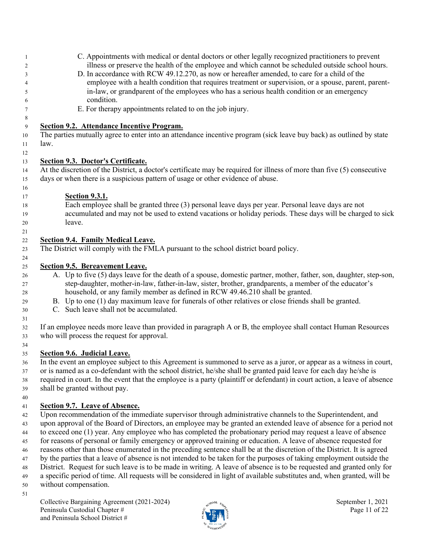|      | C. Appointments with medical or dental doctors or other legally recognized practitioners to prevent                                                                                                                                                                                                       |
|------|-----------------------------------------------------------------------------------------------------------------------------------------------------------------------------------------------------------------------------------------------------------------------------------------------------------|
|      | illness or preserve the health of the employee and which cannot be scheduled outside school hours.                                                                                                                                                                                                        |
|      | D. In accordance with RCW 49.12.270, as now or hereafter amended, to care for a child of the                                                                                                                                                                                                              |
|      | employee with a health condition that requires treatment or supervision, or a spouse, parent, parent-                                                                                                                                                                                                     |
|      | in-law, or grandparent of the employees who has a serious health condition or an emergency                                                                                                                                                                                                                |
|      | condition.                                                                                                                                                                                                                                                                                                |
|      | E. For therapy appointments related to on the job injury.                                                                                                                                                                                                                                                 |
|      | Section 9.2. Attendance Incentive Program.                                                                                                                                                                                                                                                                |
|      | The parties mutually agree to enter into an attendance incentive program (sick leave buy back) as outlined by state                                                                                                                                                                                       |
| law. |                                                                                                                                                                                                                                                                                                           |
|      |                                                                                                                                                                                                                                                                                                           |
|      | Section 9.3. Doctor's Certificate.                                                                                                                                                                                                                                                                        |
|      | At the discretion of the District, a doctor's certificate may be required for illness of more than five (5) consecutive                                                                                                                                                                                   |
|      | days or when there is a suspicious pattern of usage or other evidence of abuse.                                                                                                                                                                                                                           |
|      |                                                                                                                                                                                                                                                                                                           |
|      | <b>Section 9.3.1.</b>                                                                                                                                                                                                                                                                                     |
|      | Each employee shall be granted three (3) personal leave days per year. Personal leave days are not                                                                                                                                                                                                        |
|      | accumulated and may not be used to extend vacations or holiday periods. These days will be charged to sick                                                                                                                                                                                                |
|      | leave.                                                                                                                                                                                                                                                                                                    |
|      |                                                                                                                                                                                                                                                                                                           |
|      | <b>Section 9.4. Family Medical Leave.</b>                                                                                                                                                                                                                                                                 |
|      | The District will comply with the FMLA pursuant to the school district board policy.                                                                                                                                                                                                                      |
|      | Section 9.5. Bereavement Leave.                                                                                                                                                                                                                                                                           |
|      | A. Up to five (5) days leave for the death of a spouse, domestic partner, mother, father, son, daughter, step-son,                                                                                                                                                                                        |
|      | step-daughter, mother-in-law, father-in-law, sister, brother, grandparents, a member of the educator's                                                                                                                                                                                                    |
|      | household, or any family member as defined in RCW 49.46.210 shall be granted.                                                                                                                                                                                                                             |
|      | B. Up to one (1) day maximum leave for funerals of other relatives or close friends shall be granted.                                                                                                                                                                                                     |
|      | C. Such leave shall not be accumulated.                                                                                                                                                                                                                                                                   |
|      |                                                                                                                                                                                                                                                                                                           |
|      | If an employee needs more leave than provided in paragraph A or B, the employee shall contact Human Resources                                                                                                                                                                                             |
|      | who will process the request for approval.                                                                                                                                                                                                                                                                |
|      |                                                                                                                                                                                                                                                                                                           |
|      | <b>Section 9.6. Judicial Leave.</b>                                                                                                                                                                                                                                                                       |
|      | $\frac{1}{2}$ , $\frac{1}{2}$ , $\frac{1}{2}$ , $\frac{1}{2}$ , $\frac{1}{2}$ , $\frac{1}{2}$ , $\frac{1}{2}$ , $\frac{1}{2}$ , $\frac{1}{2}$ , $\frac{1}{2}$ , $\frac{1}{2}$ , $\frac{1}{2}$ , $\frac{1}{2}$ , $\frac{1}{2}$ , $\frac{1}{2}$ , $\frac{1}{2}$ , $\frac{1}{2}$ , $\frac{1}{2}$ , $\frac{1$ |

 In the event an employee subject to this Agreement is summoned to serve as a juror, or appear as a witness in court, or is named as a co-defendant with the school district, he/she shall be granted paid leave for each day he/she is required in court. In the event that the employee is a party (plaintiff or defendant) in court action, a leave of absence shall be granted without pay.

## **Section 9.7. Leave of Absence.**

 Upon recommendation of the immediate supervisor through administrative channels to the Superintendent, and upon approval of the Board of Directors, an employee may be granted an extended leave of absence for a period not to exceed one (1) year. Any employee who has completed the probationary period may request a leave of absence for reasons of personal or family emergency or approved training or education. A leave of absence requested for reasons other than those enumerated in the preceding sentence shall be at the discretion of the District. It is agreed by the parties that a leave of absence is not intended to be taken for the purposes of taking employment outside the District. Request for such leave is to be made in writing. A leave of absence is to be requested and granted only for a specific period of time. All requests will be considered in light of available substitutes and, when granted, will be

without compensation.

Collective Bargaining Agreement (2021-2024) September 1, 2021 Peninsula Custodial Chapter #  $\frac{1}{2}$  Page 11 of 22 and Peninsula School District #

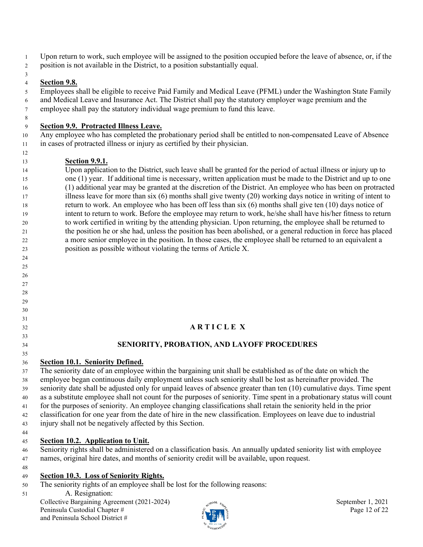- 1 Upon return to work, such employee will be assigned to the position occupied before the leave of absence, or, if the
- 2 position is not available in the District, to a position substantially equal.

## **Section 9.8.**

5 Employees shall be eligible to receive Paid Family and Medical Leave (PFML) under the Washington State Family 6 and Medical Leave and Insurance Act. The District shall pay the statutory employer wage premium and the 7 employee shall pay the statutory individual wage premium to fund this leave.

#### **Section 9.9. Protracted Illness Leave.**

10 Any employee who has completed the probationary period shall be entitled to non-compensated Leave of Absence in cases of protracted illness or injury as certified by their physician.

## **Section 9.9.1.**

 Upon application to the District, such leave shall be granted for the period of actual illness or injury up to one (1) year. If additional time is necessary, written application must be made to the District and up to one (1) additional year may be granted at the discretion of the District. An employee who has been on protracted illness leave for more than six (6) months shall give twenty (20) working days notice in writing of intent to return to work. An employee who has been off less than six (6) months shall give ten (10) days notice of intent to return to work. Before the employee may return to work, he/she shall have his/her fitness to return to work certified in writing by the attending physician. Upon returning, the employee shall be returned to the position he or she had, unless the position has been abolished, or a general reduction in force has placed a more senior employee in the position. In those cases, the employee shall be returned to an equivalent a position as possible without violating the terms of Article X.

# **A R T I C L E X**

## **SENIORITY, PROBATION, AND LAYOFF PROCEDURES**

 **Section 10.1. Seniority Defined.**

 The seniority date of an employee within the bargaining unit shall be established as of the date on which the employee began continuous daily employment unless such seniority shall be lost as hereinafter provided. The seniority date shall be adjusted only for unpaid leaves of absence greater than ten (10) cumulative days. Time spent as a substitute employee shall not count for the purposes of seniority. Time spent in a probationary status will count for the purposes of seniority. An employee changing classifications shall retain the seniority held in the prior classification for one year from the date of hire in the new classification. Employees on leave due to industrial injury shall not be negatively affected by this Section.

## **Section 10.2. Application to Unit.**

 Seniority rights shall be administered on a classification basis. An annually updated seniority list with employee names, original hire dates, and months of seniority credit will be available, upon request.

## **Section 10.3. Loss of Seniority Rights.**

The seniority rights of an employee shall be lost for the following reasons:

A. Resignation:

Collective Bargaining Agreement (2021-2024) September 1, 2021 Peninsula Custodial Chapter #  $\ddot{\zeta}$  Page 12 of 22 and Peninsula School District #

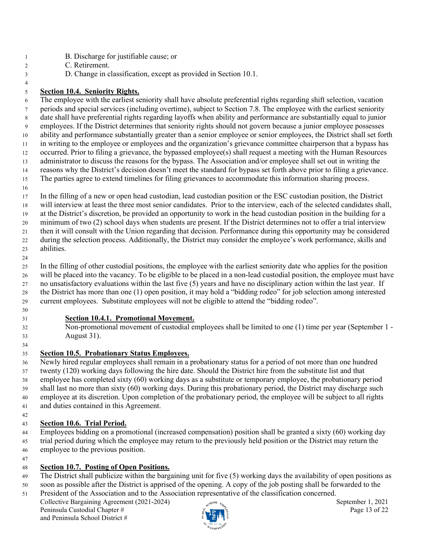- 1 B. Discharge for justifiable cause; or
- 2 C. Retirement.
- 3 D. Change in classification, except as provided in Section 10.1.

#### **Section 10.4. Seniority Rights.**

6 The employee with the earliest seniority shall have absolute preferential rights regarding shift selection, vacation 7 periods and special services (including overtime), subject to Section 7.8. The employee with the earliest seniority 8 date shall have preferential rights regarding layoffs when ability and performance are substantially equal to junior 9 employees. If the District determines that seniority rights should not govern because a junior employee possesses ability and performance substantially greater than a senior employee or senior employees, the District shall set forth in writing to the employee or employees and the organization's grievance committee chairperson that a bypass has occurred. Prior to filing a grievance, the bypassed employee(s) shall request a meeting with the Human Resources 13 administrator to discuss the reasons for the bypass. The Association and/or employee shall set out in writing the reasons why the District's decision doesn't meet the standard for bypass set forth above prior to filing a grievance. The parties agree to extend timelines for filing grievances to accommodate this information sharing process.

 In the filling of a new or open head custodian, lead custodian position or the ESC custodian position, the District will interview at least the three most senior candidates. Prior to the interview, each of the selected candidates shall, at the District's discretion, be provided an opportunity to work in the head custodian position in the building for a minimum of two (2) school days when students are present. If the District determines not to offer a trial interview then it will consult with the Union regarding that decision. Performance during this opportunity may be considered during the selection process. Additionally, the District may consider the employee's work performance, skills and abilities.

 In the filling of other custodial positions, the employee with the earliest seniority date who applies for the position will be placed into the vacancy. To be eligible to be placed in a non-lead custodial position, the employee must have no unsatisfactory evaluations within the last five (5) years and have no disciplinary action within the last year. If the District has more than one (1) open position, it may hold a "bidding rodeo" for job selection among interested current employees. Substitute employees will not be eligible to attend the "bidding rodeo".

#### **Section 10.4.1. Promotional Movement.**

 Non-promotional movement of custodial employees shall be limited to one (1) time per year (September 1 - August 31).

## **Section 10.5. Probationary Status Employees.**

 Newly hired regular employees shall remain in a probationary status for a period of not more than one hundred twenty (120) working days following the hire date. Should the District hire from the substitute list and that employee has completed sixty (60) working days as a substitute or temporary employee, the probationary period shall last no more than sixty (60) working days. During this probationary period, the District may discharge such employee at its discretion. Upon completion of the probationary period, the employee will be subject to all rights and duties contained in this Agreement.

## **Section 10.6. Trial Period.**

 Employees bidding on a promotional (increased compensation) position shall be granted a sixty (60) working day trial period during which the employee may return to the previously held position or the District may return the employee to the previous position.

#### **Section 10.7. Posting of Open Positions.**

- The District shall publicize within the bargaining unit for five (5) working days the availability of open positions as
- soon as possible after the District is apprised of the opening. A copy of the job posting shall be forwarded to the President of the Association and to the Association representative of the classification concerned.

Collective Bargaining Agreement (2021-2024) September 1, 2021 Peninsula Custodial Chapter #  $\ddot{\zeta}$  Page 13 of 22 and Peninsula School District #

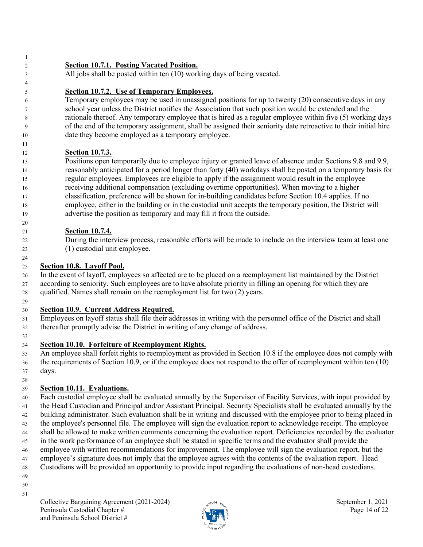**Section 10.7.1. Posting Vacated Position.** 3 All jobs shall be posted within ten (10) working days of being vacated. **Section 10.7.2. Use of Temporary Employees.** 6 Temporary employees may be used in unassigned positions for up to twenty (20) consecutive days in any 7 school year unless the District notifies the Association that such position would be extended and the 8 rationale thereof. Any temporary employee that is hired as a regular employee within five (5) working days 9 of the end of the temporary assignment, shall be assigned their seniority date retroactive to their initial hire date they become employed as a temporary employee. **Section 10.7.3.**  Positions open temporarily due to employee injury or granted leave of absence under Sections 9.8 and 9.9, reasonably anticipated for a period longer than forty (40) workdays shall be posted on a temporary basis for regular employees. Employees are eligible to apply if the assignment would result in the employee receiving additional compensation (excluding overtime opportunities). When moving to a higher classification, preference will be shown for in-building candidates before Section 10.4 applies. If no employee, either in the building or in the custodial unit accepts the temporary position, the District will advertise the position as temporary and may fill it from the outside. **Section 10.7.4.**  During the interview process, reasonable efforts will be made to include on the interview team at least one (1) custodial unit employee. 

## **Section 10.8. Layoff Pool.**

 In the event of layoff, employees so affected are to be placed on a reemployment list maintained by the District according to seniority. Such employees are to have absolute priority in filling an opening for which they are qualified. Names shall remain on the reemployment list for two (2) years.

## **Section 10.9. Current Address Required.**

- Employees on layoff status shall file their addresses in writing with the personnel office of the District and shall thereafter promptly advise the District in writing of any change of address.
- 

## **Section 10.10. Forfeiture of Reemployment Rights.**

- An employee shall forfeit rights to reemployment as provided in Section 10.8 if the employee does not comply with the requirements of Section 10.9, or if the employee does not respond to the offer of reemployment within ten (10) days.
- 

## **Section 10.11. Evaluations.**

- Each custodial employee shall be evaluated annually by the Supervisor of Facility Services, with input provided by the Head Custodian and Principal and/or Assistant Principal. Security Specialists shall be evaluated annually by the building administrator. Such evaluation shall be in writing and discussed with the employee prior to being placed in the employee's personnel file. The employee will sign the evaluation report to acknowledge receipt. The employee shall be allowed to make written comments concerning the evaluation report. Deficiencies recorded by the evaluator in the work performance of an employee shall be stated in specific terms and the evaluator shall provide the employee with written recommendations for improvement. The employee will sign the evaluation report, but the employee's signature does not imply that the employee agrees with the contents of the evaluation report. Head Custodians will be provided an opportunity to provide input regarding the evaluations of non-head custodians.
- 
- 
- 

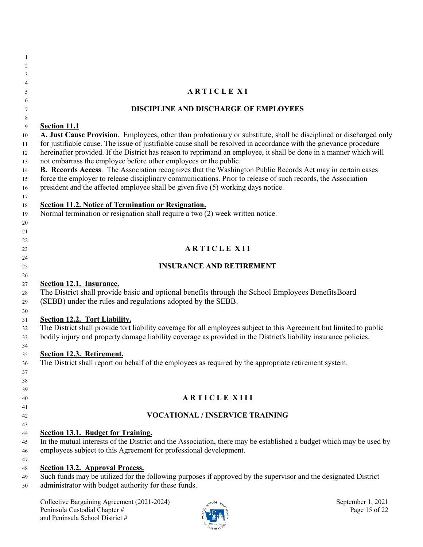| -1       |                                                                                                                                                                                                                                          |
|----------|------------------------------------------------------------------------------------------------------------------------------------------------------------------------------------------------------------------------------------------|
| 2        |                                                                                                                                                                                                                                          |
| 3        |                                                                                                                                                                                                                                          |
| 4        |                                                                                                                                                                                                                                          |
| 5        | <b>ARTICLE XI</b>                                                                                                                                                                                                                        |
| 6        |                                                                                                                                                                                                                                          |
| 7        | <b>DISCIPLINE AND DISCHARGE OF EMPLOYEES</b>                                                                                                                                                                                             |
| 8        |                                                                                                                                                                                                                                          |
| 9        | <b>Section 11.1</b>                                                                                                                                                                                                                      |
| 10       | A. Just Cause Provision. Employees, other than probationary or substitute, shall be disciplined or discharged only<br>for justifiable cause. The issue of justifiable cause shall be resolved in accordance with the grievance procedure |
| 11       | hereinafter provided. If the District has reason to reprimand an employee, it shall be done in a manner which will                                                                                                                       |
| 12<br>13 | not embarrass the employee before other employees or the public.                                                                                                                                                                         |
| 14       | B. Records Access. The Association recognizes that the Washington Public Records Act may in certain cases                                                                                                                                |
| 15       | force the employer to release disciplinary communications. Prior to release of such records, the Association                                                                                                                             |
| 16       | president and the affected employee shall be given five (5) working days notice.                                                                                                                                                         |
| 17       |                                                                                                                                                                                                                                          |
| 18       | <b>Section 11.2. Notice of Termination or Resignation.</b>                                                                                                                                                                               |
| 19       | Normal termination or resignation shall require a two (2) week written notice.                                                                                                                                                           |
| 20       |                                                                                                                                                                                                                                          |
| 21       |                                                                                                                                                                                                                                          |
| 22       |                                                                                                                                                                                                                                          |
| 23       | <b>ARTICLE XII</b>                                                                                                                                                                                                                       |
| 24       |                                                                                                                                                                                                                                          |
| 25       | <b>INSURANCE AND RETIREMENT</b>                                                                                                                                                                                                          |
| 26       |                                                                                                                                                                                                                                          |
| 27       | <b>Section 12.1. Insurance.</b>                                                                                                                                                                                                          |
| 28       | The District shall provide basic and optional benefits through the School Employees BenefitsBoard                                                                                                                                        |
| 29       | (SEBB) under the rules and regulations adopted by the SEBB.                                                                                                                                                                              |
| 30<br>31 | Section 12.2. Tort Liability.                                                                                                                                                                                                            |
| 32       | The District shall provide tort liability coverage for all employees subject to this Agreement but limited to public                                                                                                                     |
| 33       | bodily injury and property damage liability coverage as provided in the District's liability insurance policies.                                                                                                                         |
| 34       |                                                                                                                                                                                                                                          |
| 35       | Section 12.3. Retirement.                                                                                                                                                                                                                |
| 36       | The District shall report on behalf of the employees as required by the appropriate retirement system.                                                                                                                                   |
| 37       |                                                                                                                                                                                                                                          |
| 38       |                                                                                                                                                                                                                                          |
| 39       |                                                                                                                                                                                                                                          |
| 40       | <b>ARTICLE XIII</b>                                                                                                                                                                                                                      |
| 41       |                                                                                                                                                                                                                                          |
| 42       | <b>VOCATIONAL / INSERVICE TRAINING</b>                                                                                                                                                                                                   |
| 43       |                                                                                                                                                                                                                                          |
| 44       | <b>Section 13.1. Budget for Training.</b>                                                                                                                                                                                                |
| 45       | In the mutual interests of the District and the Association, there may be established a budget which may be used by<br>employees subject to this Agreement for professional development.                                                 |
| 46       |                                                                                                                                                                                                                                          |
| 47<br>48 | <b>Section 13.2. Approval Process.</b>                                                                                                                                                                                                   |
| 49       | Such funds may be utilized for the following purposes if approved by the supervisor and the designated District                                                                                                                          |
| 50       | administrator with budget authority for these funds.                                                                                                                                                                                     |
|          |                                                                                                                                                                                                                                          |
|          | Collective Bargaining Agreement (2021-2024)<br>September 1, 2021                                                                                                                                                                         |
|          | Peninsula Custodial Chapter #<br>Page 15 of 22                                                                                                                                                                                           |

**EXECUTIVE ASSESSED** 

and Peninsula School District #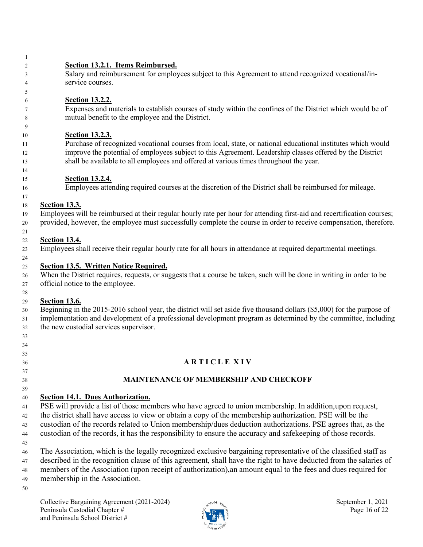- **Section 13.2.1. Items Reimbursed.** Salary and reimbursement for employees subject to this Agreement to attend recognized vocational/in- service courses. **Section 13.2.2.** Expenses and materials to establish courses of study within the confines of the District which would be of mutual benefit to the employee and the District. **Section 13.2.3.** Purchase of recognized vocational courses from local, state, or national educational institutes which would improve the potential of employees subject to this Agreement. Leadership classes offered by the District shall be available to all employees and offered at various times throughout the year. **Section 13.2.4.** Employees attending required courses at the discretion of the District shall be reimbursed for mileage. **Section 13.3.** Employees will be reimbursed at their regular hourly rate per hour for attending first-aid and recertification courses; provided, however, the employee must successfully complete the course in order to receive compensation, therefore. **Section 13.4.** Employees shall receive their regular hourly rate for all hours in attendance at required departmental meetings. **Section 13.5. Written Notice Required.** When the District requires, requests, or suggests that a course be taken, such will be done in writing in order to be official notice to the employee. **Section 13.6.** Beginning in the 2015-2016 school year, the district will set aside five thousand dollars (\$5,000) for the purpose of implementation and development of a professional development program as determined by the committee, including the new custodial services supervisor. **A R T I C L E X I V MAINTENANCE OF MEMBERSHIP AND CHECKOFF Section 14.1. Dues Authorization.** PSE will provide a list of those members who have agreed to union membership. In addition,upon request, the district shall have access to view or obtain a copy of the membership authorization. PSE will be the custodian of the records related to Union membership/dues deduction authorizations. PSE agrees that, as the custodian of the records, it has the responsibility to ensure the accuracy and safekeeping of those records.
- The Association, which is the legally recognized exclusive bargaining representative of the classified staff as described in the recognition clause of this agreement, shall have the right to have deducted from the salaries of members of the Association (upon receipt of authorization),an amount equal to the fees and dues required for membership in the Association.
- 
- Collective Bargaining Agreement (2021-2024) September 1, 2021 Peninsula Custodial Chapter #  $\frac{1}{2}$  P  $\frac{3}{2}$  P age 16 of 22 and Peninsula School District #

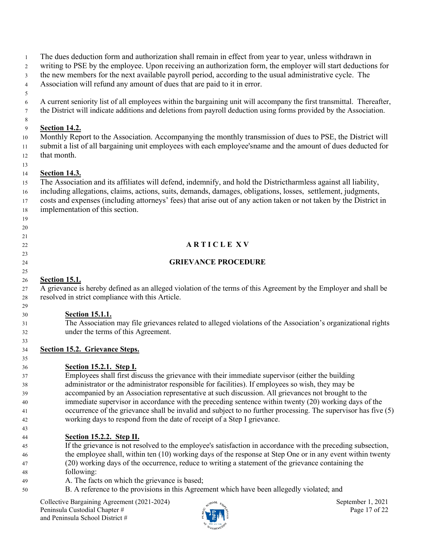The dues deduction form and authorization shall remain in effect from year to year, unless withdrawn in

writing to PSE by the employee. Upon receiving an authorization form, the employer will start deductions for

the new members for the next available payroll period, according to the usual administrative cycle. The

 Association will refund any amount of dues that are paid to it in error. 

 A current seniority list of all employees within the bargaining unit will accompany the first transmittal. Thereafter, the District will indicate additions and deletions from payroll deduction using forms provided by the Association.

#### **Section 14.2.**

 Monthly Report to the Association. Accompanying the monthly transmission of dues to PSE, the District will submit a list of all bargaining unit employees with each employee'sname and the amount of dues deducted for that month.

#### **Section 14.3.**

 

- The Association and its affiliates will defend, indemnify, and hold the Districtharmless against all liability,
- including allegations, claims, actions, suits, demands, damages, obligations, losses, settlement, judgments,
- costs and expenses (including attorneys' fees) that arise out of any action taken or not taken by the District in implementation of this section.

# **A R T I C L E X V**

## **GRIEVANCE PROCEDURE**

## **Section 15.1.**

 A grievance is hereby defined as an alleged violation of the terms of this Agreement by the Employer and shall be resolved in strict compliance with this Article.

## **Section 15.1.1.**

 The Association may file grievances related to alleged violations of the Association's organizational rights under the terms of this Agreement.

## **Section 15.2. Grievance Steps.**

# **Section 15.2.1. Step I.**

 Employees shall first discuss the grievance with their immediate supervisor (either the building administrator or the administrator responsible for facilities). If employees so wish, they may be accompanied by an Association representative at such discussion. All grievances not brought to the immediate supervisor in accordance with the preceding sentence within twenty (20) working days of the occurrence of the grievance shall be invalid and subject to no further processing. The supervisor has five (5) working days to respond from the date of receipt of a Step I grievance.

## **Section 15.2.2. Step II.**

- If the grievance is not resolved to the employee's satisfaction in accordance with the preceding subsection, the employee shall, within ten (10) working days of the response at Step One or in any event within twenty (20) working days of the occurrence, reduce to writing a statement of the grievance containing the
- following:
- A. The facts on which the grievance is based;
- B. A reference to the provisions in this Agreement which have been allegedly violated; and

Collective Bargaining Agreement (2021-2024) September 1, 2021 Peninsula Custodial Chapter #  $\frac{1}{2}$  Page 17 of 22 and Peninsula School District #

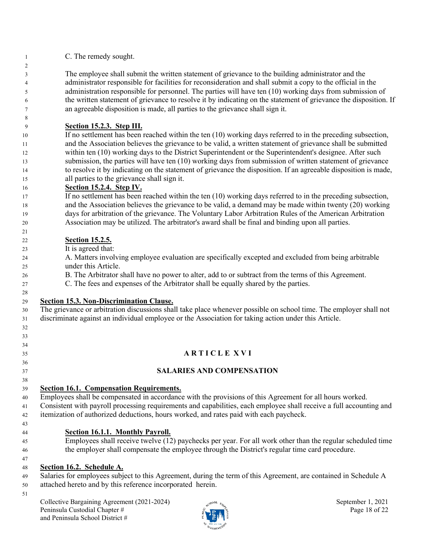C. The remedy sought.

 The employee shall submit the written statement of grievance to the building administrator and the administrator responsible for facilities for reconsideration and shall submit a copy to the official in the administration responsible for personnel. The parties will have ten (10) working days from submission of the written statement of grievance to resolve it by indicating on the statement of grievance the disposition. If an agreeable disposition is made, all parties to the grievance shall sign it.

## **Section 15.2.3. Step III.**

10 If no settlement has been reached within the ten (10) working days referred to in the preceding subsection, and the Association believes the grievance to be valid, a written statement of grievance shall be submitted within ten (10) working days to the District Superintendent or the Superintendent's designee. After such submission, the parties will have ten (10) working days from submission of written statement of grievance to resolve it by indicating on the statement of grievance the disposition. If an agreeable disposition is made, all parties to the grievance shall sign it.

#### **Section 15.2.4. Step IV.**

 If no settlement has been reached within the ten (10) working days referred to in the preceding subsection, and the Association believes the grievance to be valid, a demand may be made within twenty (20) working days for arbitration of the grievance. The Voluntary Labor Arbitration Rules of the American Arbitration Association may be utilized. The arbitrator's award shall be final and binding upon all parties.

#### **Section 15.2.5.**

It is agreed that:

 A. Matters involving employee evaluation are specifically excepted and excluded from being arbitrable under this Article.

- B. The Arbitrator shall have no power to alter, add to or subtract from the terms of this Agreement.
- C. The fees and expenses of the Arbitrator shall be equally shared by the parties.

## **Section 15.3. Non-Discrimination Clause.**

 The grievance or arbitration discussions shall take place whenever possible on school time. The employer shall not discriminate against an individual employee or the Association for taking action under this Article.

- 
- 

- 
- **A R T I C L E X V I**
- **SALARIES AND COMPENSATION**
- 

# **Section 16.1. Compensation Requirements.**

Employees shall be compensated in accordance with the provisions of this Agreement for all hours worked.

 Consistent with payroll processing requirements and capabilities, each employee shall receive a full accounting and itemization of authorized deductions, hours worked, and rates paid with each paycheck.

# **Section 16.1.1. Monthly Payroll.**

 Employees shall receive twelve (12) paychecks per year. For all work other than the regular scheduled time the employer shall compensate the employee through the District's regular time card procedure.

# **Section 16.2. Schedule A.**

 Salaries for employees subject to this Agreement, during the term of this Agreement, are contained in Schedule A attached hereto and by this reference incorporated herein.

Collective Bargaining Agreement (2021-2024) September 1, 2021 Peninsula Custodial Chapter #  $\frac{1}{2}$  Page 18 of 22 and Peninsula School District #

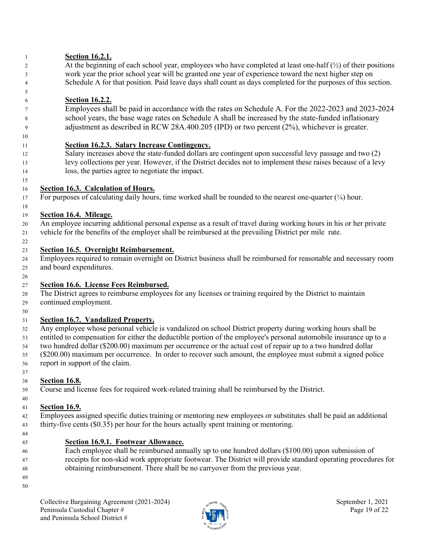#### **Section 16.2.1.**

2 At the beginning of each school year, employees who have completed at least one-half (½) of their positions 3 work year the prior school year will be granted one year of experience toward the next higher step on 4 Schedule A for that position. Paid leave days shall count as days completed for the purposes of this section.

## **Section 16.2.2.**

7 Employees shall be paid in accordance with the rates on Schedule A. For the 2022-2023 and 2023-20 24 8 school years, the base wage rates on Schedule A shall be increased by the state-funded inflationary 9 adjustment as described in RCW 28A.400.205 (IPD) or two percent (2%), whichever is greater.

#### **Section 16.2.3. Salary Increase Contingency.**

 Salary increases above the state-funded dollars are contingent upon successful levy passage and two (2) levy collections per year. However, if the District decides not to implement these raises because of a levy loss, the parties agree to negotiate the impact.

#### **Section 16.3. Calculation of Hours.**

17 For purposes of calculating daily hours, time worked shall be rounded to the nearest one-quarter  $(½)$  hour.

#### **Section 16.4. Mileage.**

 An employee incurring additional personal expense as a result of travel during working hours in his or her private vehicle for the benefits of the employer shall be reimbursed at the prevailing District per mile rate.

#### **Section 16.5. Overnight Reimbursement.**

 Employees required to remain overnight on District business shall be reimbursed for reasonable and necessary room and board expenditures.

#### **Section 16.6. License Fees Reimbursed.**

 The District agrees to reimburse employees for any licenses or training required by the District to maintain continued employment.

#### **Section 16.7. Vandalized Property.**

 Any employee whose personal vehicle is vandalized on school District property during working hours shall be entitled to compensation for either the deductible portion of the employee's personal automobile insurance up to a two hundred dollar (\$200.00) maximum per occurrence or the actual cost of repair up to a two hundred dollar (\$200.00) maximum per occurrence. In order to recover such amount, the employee must submit a signed police report in support of the claim.

#### **Section 16.8.**

Course and license fees for required work-related training shall be reimbursed by the District.

#### **Section 16.9.**

 Employees assigned specific duties training or mentoring new employees or substitutes shall be paid an additional thirty-five cents (\$0.35) per hour for the hours actually spent training or mentoring.

- 
- 

#### **Section 16.9.1. Footwear Allowance.**

- Each employee shall be reimbursed annually up to one hundred dollars (\$100.00) upon submission of receipts for non-skid work appropriate footwear. The District will provide standard operating procedures for obtaining reimbursement. There shall be no carryover from the previous year.
- 

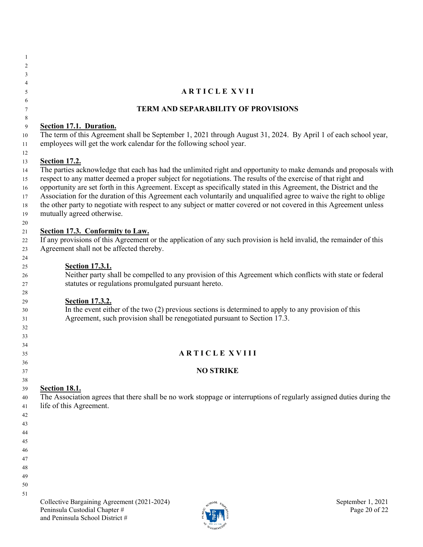| -1       |                                                                                                                                                                                                                                          |
|----------|------------------------------------------------------------------------------------------------------------------------------------------------------------------------------------------------------------------------------------------|
| 2        |                                                                                                                                                                                                                                          |
| 3        |                                                                                                                                                                                                                                          |
| 4        |                                                                                                                                                                                                                                          |
| 5        | <b>ARTICLE XVII</b>                                                                                                                                                                                                                      |
| 6        |                                                                                                                                                                                                                                          |
| 7        | <b>TERM AND SEPARABILITY OF PROVISIONS</b>                                                                                                                                                                                               |
| 8        |                                                                                                                                                                                                                                          |
| 9        | Section 17.1. Duration.                                                                                                                                                                                                                  |
| 10       | The term of this Agreement shall be September 1, 2021 through August 31, 2024. By April 1 of each school year,                                                                                                                           |
| 11       | employees will get the work calendar for the following school year.                                                                                                                                                                      |
| 12       |                                                                                                                                                                                                                                          |
| 13       | <b>Section 17.2.</b>                                                                                                                                                                                                                     |
| 14       | The parties acknowledge that each has had the unlimited right and opportunity to make demands and proposals with                                                                                                                         |
| 15       | respect to any matter deemed a proper subject for negotiations. The results of the exercise of that right and                                                                                                                            |
| 16       | opportunity are set forth in this Agreement. Except as specifically stated in this Agreement, the District and the<br>Association for the duration of this Agreement each voluntarily and unqualified agree to waive the right to oblige |
| 17<br>18 | the other party to negotiate with respect to any subject or matter covered or not covered in this Agreement unless                                                                                                                       |
| 19       | mutually agreed otherwise.                                                                                                                                                                                                               |
| 20       |                                                                                                                                                                                                                                          |
| 21       | Section 17.3. Conformity to Law.                                                                                                                                                                                                         |
| 22       | If any provisions of this Agreement or the application of any such provision is held invalid, the remainder of this                                                                                                                      |
| 23       | Agreement shall not be affected thereby.                                                                                                                                                                                                 |
| 24       |                                                                                                                                                                                                                                          |
| 25       | <b>Section 17.3.1.</b>                                                                                                                                                                                                                   |
| 26       | Neither party shall be compelled to any provision of this Agreement which conflicts with state or federal                                                                                                                                |
| 27       | statutes or regulations promulgated pursuant hereto.                                                                                                                                                                                     |
| 28       |                                                                                                                                                                                                                                          |
| 29       | <b>Section 17.3.2.</b>                                                                                                                                                                                                                   |
| 30       | In the event either of the two $(2)$ previous sections is determined to apply to any provision of this                                                                                                                                   |
| 31       | Agreement, such provision shall be renegotiated pursuant to Section 17.3.                                                                                                                                                                |
| 32       |                                                                                                                                                                                                                                          |
| 33       |                                                                                                                                                                                                                                          |
| 34       |                                                                                                                                                                                                                                          |
| 35       | <b>ARTICLE XVIII</b>                                                                                                                                                                                                                     |
| 36       |                                                                                                                                                                                                                                          |
| 37       | <b>NO STRIKE</b>                                                                                                                                                                                                                         |
| 38       |                                                                                                                                                                                                                                          |
| 39       | <b>Section 18.1.</b>                                                                                                                                                                                                                     |
| 40       | The Association agrees that there shall be no work stoppage or interruptions of regularly assigned duties during the                                                                                                                     |
| 41       | life of this Agreement.                                                                                                                                                                                                                  |
| 42       |                                                                                                                                                                                                                                          |
| 43       |                                                                                                                                                                                                                                          |
| 44       |                                                                                                                                                                                                                                          |
| 45       |                                                                                                                                                                                                                                          |
| 46       |                                                                                                                                                                                                                                          |
| 47       |                                                                                                                                                                                                                                          |
| 48       |                                                                                                                                                                                                                                          |
| 49       |                                                                                                                                                                                                                                          |
| 50       |                                                                                                                                                                                                                                          |
| 51       |                                                                                                                                                                                                                                          |
|          | Collective Bargaining Agreement (2021-2024)<br>September 1, 2021<br>$\epsilon_{\rm N}$ 001 $\varepsilon_{\rm A}$                                                                                                                         |

Peninsula Custodial Chapter #  $\frac{1}{2}$  P is  $\frac{1}{2}$  P in  $\frac{1}{2}$  P is a Page 20 of 22

 $v_{\rm 4SHV}$ 

and Peninsula School District #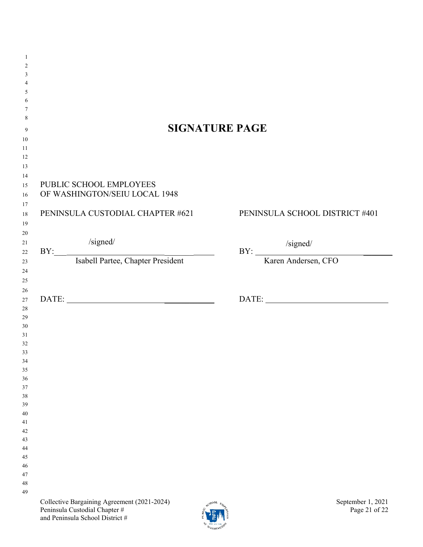|                                                   | <b>SIGNATURE PAGE</b>          |
|---------------------------------------------------|--------------------------------|
|                                                   |                                |
|                                                   |                                |
|                                                   |                                |
|                                                   |                                |
|                                                   |                                |
| PUBLIC SCHOOL EMPLOYEES                           |                                |
| OF WASHINGTON/SEIU LOCAL 1948                     |                                |
| PENINSULA CUSTODIAL CHAPTER #621                  |                                |
|                                                   | PENINSULA SCHOOL DISTRICT #401 |
|                                                   |                                |
|                                                   |                                |
|                                                   |                                |
| /signed/<br>BY: Isabell Partee, Chapter President | BY:<br>Karen Andersen, CFO     |
|                                                   |                                |
|                                                   |                                |
|                                                   |                                |
|                                                   |                                |
|                                                   |                                |
|                                                   |                                |
|                                                   |                                |
|                                                   |                                |
|                                                   |                                |
|                                                   |                                |
|                                                   |                                |
|                                                   |                                |
|                                                   |                                |
|                                                   |                                |
|                                                   |                                |
|                                                   |                                |
|                                                   |                                |
|                                                   |                                |
|                                                   |                                |
|                                                   |                                |
|                                                   |                                |
| DATE:                                             |                                |
|                                                   |                                |